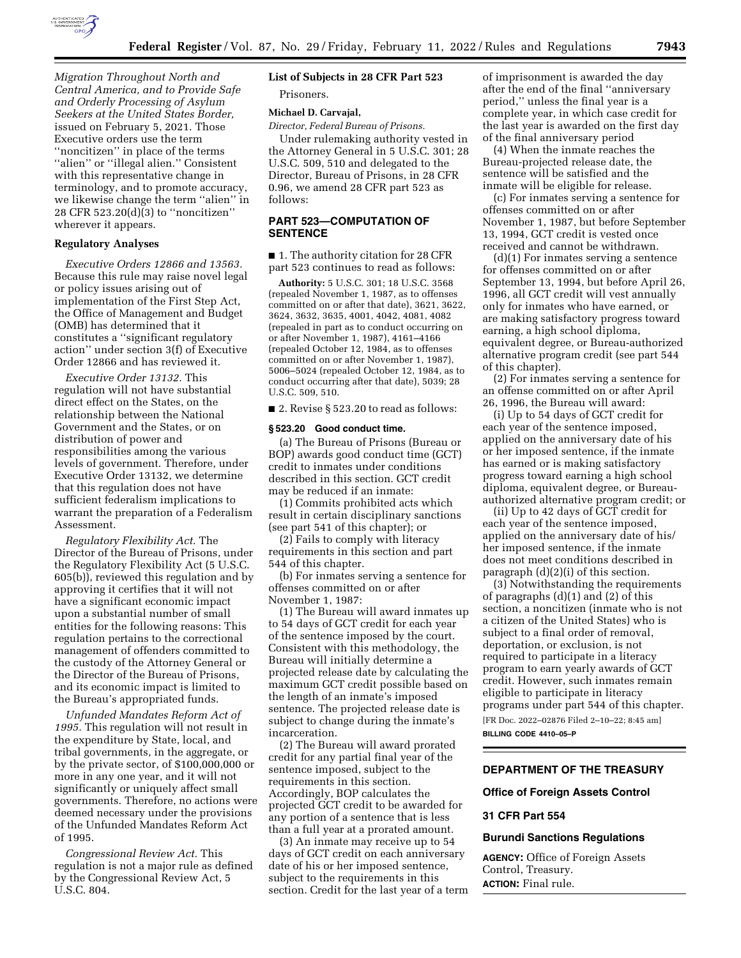

*Migration Throughout North and Central America, and to Provide Safe and Orderly Processing of Asylum Seekers at the United States Border,*  issued on February 5, 2021. Those Executive orders use the term ''noncitizen'' in place of the terms "alien" or "illegal alien." Consistent with this representative change in terminology, and to promote accuracy, we likewise change the term ''alien'' in 28 CFR 523.20(d)(3) to ''noncitizen'' wherever it appears.

#### **Regulatory Analyses**

*Executive Orders 12866 and 13563.*  Because this rule may raise novel legal or policy issues arising out of implementation of the First Step Act, the Office of Management and Budget (OMB) has determined that it constitutes a ''significant regulatory action'' under section 3(f) of Executive Order 12866 and has reviewed it.

*Executive Order 13132.* This regulation will not have substantial direct effect on the States, on the relationship between the National Government and the States, or on distribution of power and responsibilities among the various levels of government. Therefore, under Executive Order 13132, we determine that this regulation does not have sufficient federalism implications to warrant the preparation of a Federalism Assessment.

*Regulatory Flexibility Act.* The Director of the Bureau of Prisons, under the Regulatory Flexibility Act (5 U.S.C. 605(b)), reviewed this regulation and by approving it certifies that it will not have a significant economic impact upon a substantial number of small entities for the following reasons: This regulation pertains to the correctional management of offenders committed to the custody of the Attorney General or the Director of the Bureau of Prisons, and its economic impact is limited to the Bureau's appropriated funds.

*Unfunded Mandates Reform Act of 1995.* This regulation will not result in the expenditure by State, local, and tribal governments, in the aggregate, or by the private sector, of \$100,000,000 or more in any one year, and it will not significantly or uniquely affect small governments. Therefore, no actions were deemed necessary under the provisions of the Unfunded Mandates Reform Act of 1995.

*Congressional Review Act.* This regulation is not a major rule as defined by the Congressional Review Act, 5 U.S.C. 804.

# **List of Subjects in 28 CFR Part 523**

Prisoners.

# **Michael D. Carvajal,**

*Director, Federal Bureau of Prisons.* 

Under rulemaking authority vested in the Attorney General in 5 U.S.C. 301; 28 U.S.C. 509, 510 and delegated to the Director, Bureau of Prisons, in 28 CFR 0.96, we amend 28 CFR part 523 as follows:

## **PART 523—COMPUTATION OF SENTENCE**

■ 1. The authority citation for 28 CFR part 523 continues to read as follows:

**Authority:** 5 U.S.C. 301; 18 U.S.C. 3568 (repealed November 1, 1987, as to offenses committed on or after that date), 3621, 3622, 3624, 3632, 3635, 4001, 4042, 4081, 4082 (repealed in part as to conduct occurring on or after November 1, 1987), 4161–4166 (repealed October 12, 1984, as to offenses committed on or after November 1, 1987), 5006–5024 (repealed October 12, 1984, as to conduct occurring after that date), 5039; 28 U.S.C. 509, 510.

■ 2. Revise § 523.20 to read as follows:

#### **§ 523.20 Good conduct time.**

(a) The Bureau of Prisons (Bureau or BOP) awards good conduct time (GCT) credit to inmates under conditions described in this section. GCT credit may be reduced if an inmate:

(1) Commits prohibited acts which result in certain disciplinary sanctions (see part 541 of this chapter); or

(2) Fails to comply with literacy requirements in this section and part 544 of this chapter.

(b) For inmates serving a sentence for offenses committed on or after November 1, 1987:

(1) The Bureau will award inmates up to 54 days of GCT credit for each year of the sentence imposed by the court. Consistent with this methodology, the Bureau will initially determine a projected release date by calculating the maximum GCT credit possible based on the length of an inmate's imposed sentence. The projected release date is subject to change during the inmate's incarceration.

(2) The Bureau will award prorated credit for any partial final year of the sentence imposed, subject to the requirements in this section. Accordingly, BOP calculates the projected GCT credit to be awarded for any portion of a sentence that is less than a full year at a prorated amount.

(3) An inmate may receive up to 54 days of GCT credit on each anniversary date of his or her imposed sentence, subject to the requirements in this section. Credit for the last year of a term

of imprisonment is awarded the day after the end of the final ''anniversary period,'' unless the final year is a complete year, in which case credit for the last year is awarded on the first day of the final anniversary period

(4) When the inmate reaches the Bureau-projected release date, the sentence will be satisfied and the inmate will be eligible for release.

(c) For inmates serving a sentence for offenses committed on or after November 1, 1987, but before September 13, 1994, GCT credit is vested once received and cannot be withdrawn.

(d)(1) For inmates serving a sentence for offenses committed on or after September 13, 1994, but before April 26, 1996, all GCT credit will vest annually only for inmates who have earned, or are making satisfactory progress toward earning, a high school diploma, equivalent degree, or Bureau-authorized alternative program credit (see part 544 of this chapter).

(2) For inmates serving a sentence for an offense committed on or after April 26, 1996, the Bureau will award:

(i) Up to 54 days of GCT credit for each year of the sentence imposed, applied on the anniversary date of his or her imposed sentence, if the inmate has earned or is making satisfactory progress toward earning a high school diploma, equivalent degree, or Bureauauthorized alternative program credit; or

(ii) Up to 42 days of GCT credit for each year of the sentence imposed, applied on the anniversary date of his/ her imposed sentence, if the inmate does not meet conditions described in paragraph (d)(2)(i) of this section.

(3) Notwithstanding the requirements of paragraphs (d)(1) and (2) of this section, a noncitizen (inmate who is not a citizen of the United States) who is subject to a final order of removal, deportation, or exclusion, is not required to participate in a literacy program to earn yearly awards of GCT credit. However, such inmates remain eligible to participate in literacy programs under part 544 of this chapter. [FR Doc. 2022–02876 Filed 2–10–22; 8:45 am] **BILLING CODE 4410–05–P** 

# **DEPARTMENT OF THE TREASURY**

#### **Office of Foreign Assets Control**

#### **31 CFR Part 554**

#### **Burundi Sanctions Regulations**

**AGENCY:** Office of Foreign Assets Control, Treasury. **ACTION:** Final rule.